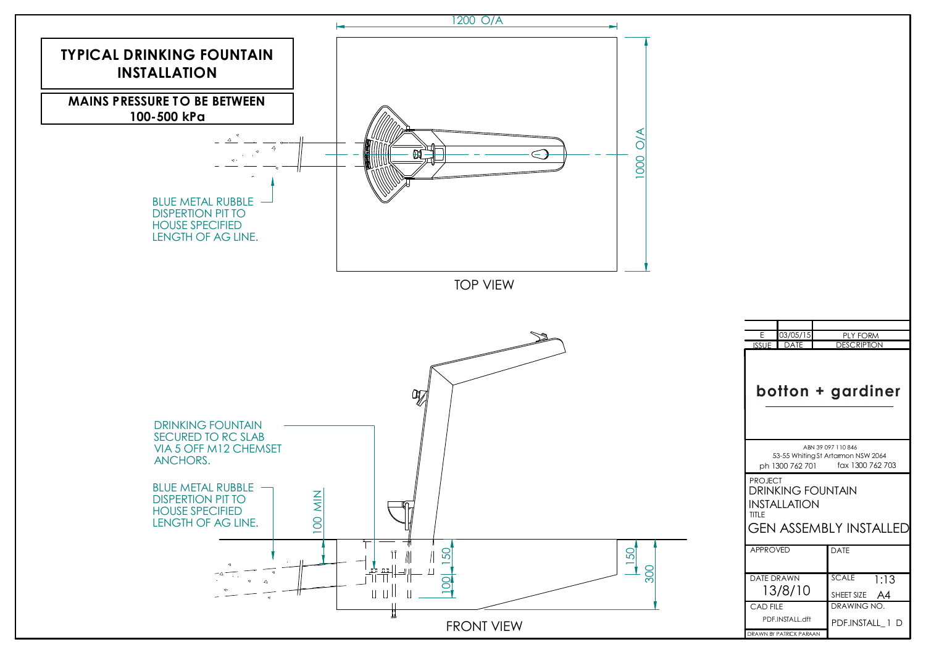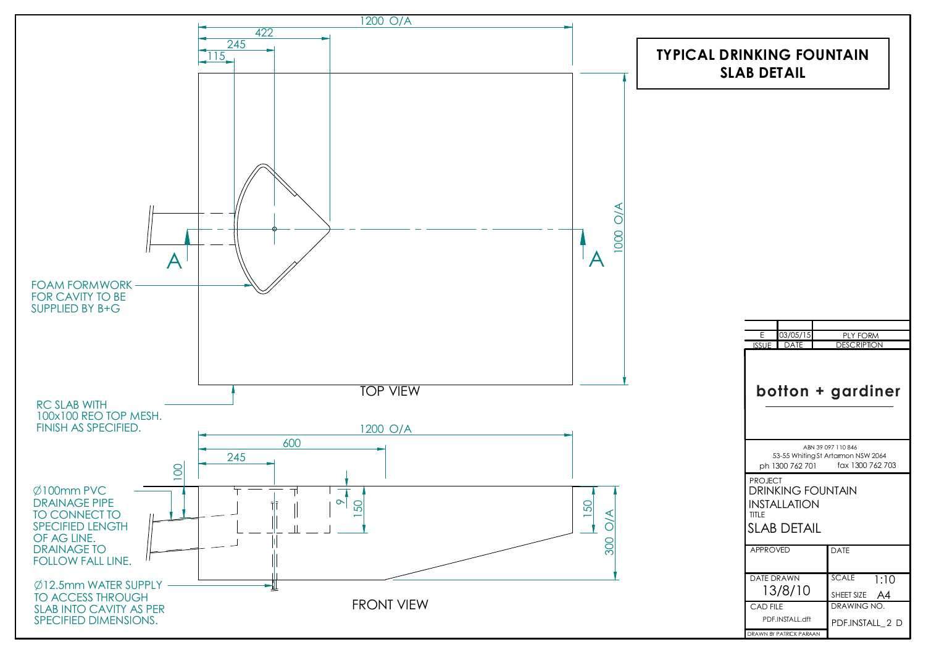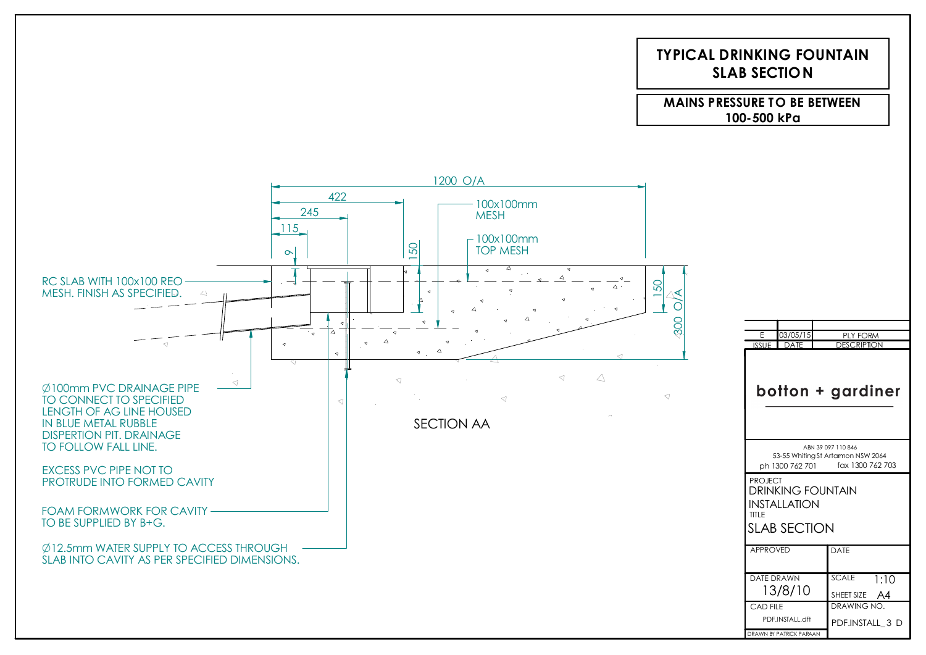## **TYPICAL DRINKING FOUNTAINSLAB SECTION**

**MAINS PRESSURE TO BE BETWEEN100-500 kPa**